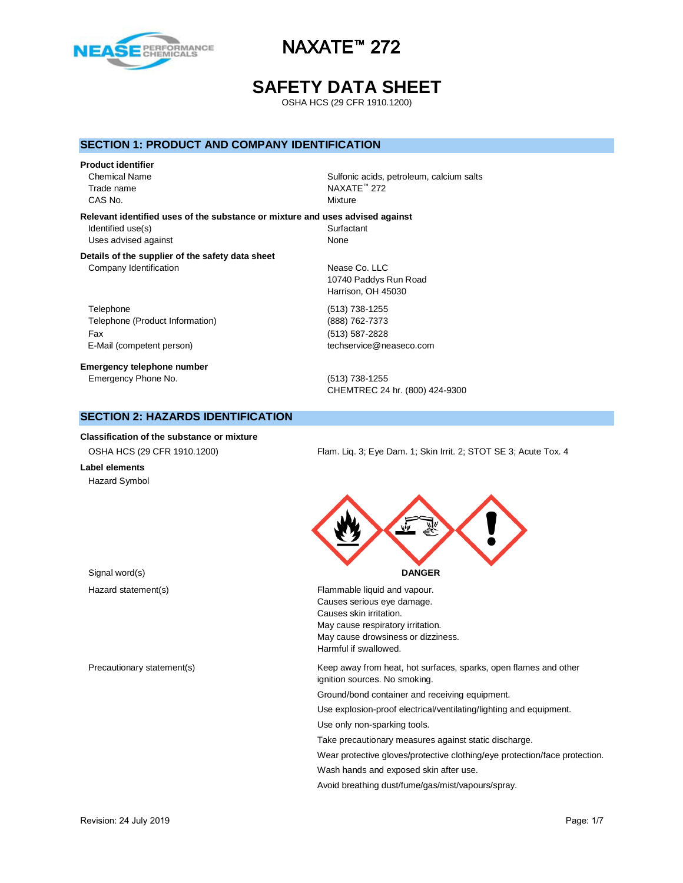

# **SAFETY DATA SHEET**

OSHA HCS (29 CFR 1910.1200)

### **SECTION 1: PRODUCT AND COMPANY IDENTIFICATION**

### **Product identifier**

Trade name NAXATE™ 272 CAS No. **Mixture** 

Chemical Name Sulfonic acids, petroleum, calcium salts

**Relevant identified uses of the substance or mixture and uses advised against** Identified use(s) Surfactant Uses advised against None

#### **Details of the supplier of the safety data sheet** Company Identification Nease Co. LLC

Telephone (513) 738-1255 Telephone (Product Information) (888) 762-7373 Fax (513) 587-2828 E-Mail (competent person) techservice@neaseco.com

**Emergency telephone number** Emergency Phone No. (513) 738-1255

# 10740 Paddys Run Road Harrison, OH 45030

CHEMTREC 24 hr. (800) 424-9300

## **SECTION 2: HAZARDS IDENTIFICATION**

**Classification of the substance or mixture**

**Label elements** Hazard Symbol

OSHA HCS (29 CFR 1910.1200) Flam. Liq. 3; Eye Dam. 1; Skin Irrit. 2; STOT SE 3; Acute Tox. 4



| Hazard statement(s)        | Flammable liquid and vapour.                                                                      |
|----------------------------|---------------------------------------------------------------------------------------------------|
|                            | Causes serious eye damage.                                                                        |
|                            | Causes skin irritation.                                                                           |
|                            | May cause respiratory irritation.                                                                 |
|                            | May cause drowsiness or dizziness.                                                                |
|                            | Harmful if swallowed.                                                                             |
| Precautionary statement(s) | Keep away from heat, hot surfaces, sparks, open flames and other<br>ignition sources. No smoking. |
|                            | Ground/bond container and receiving equipment.                                                    |
|                            | Use explosion-proof electrical/ventilating/lighting and equipment.                                |
|                            | Use only non-sparking tools.                                                                      |
|                            | Take precautionary measures against static discharge.                                             |
|                            | Wear protective gloves/protective clothing/eye protection/face protection.                        |
|                            | Wash hands and exposed skin after use.                                                            |
|                            |                                                                                                   |

Avoid breathing dust/fume/gas/mist/vapours/spray.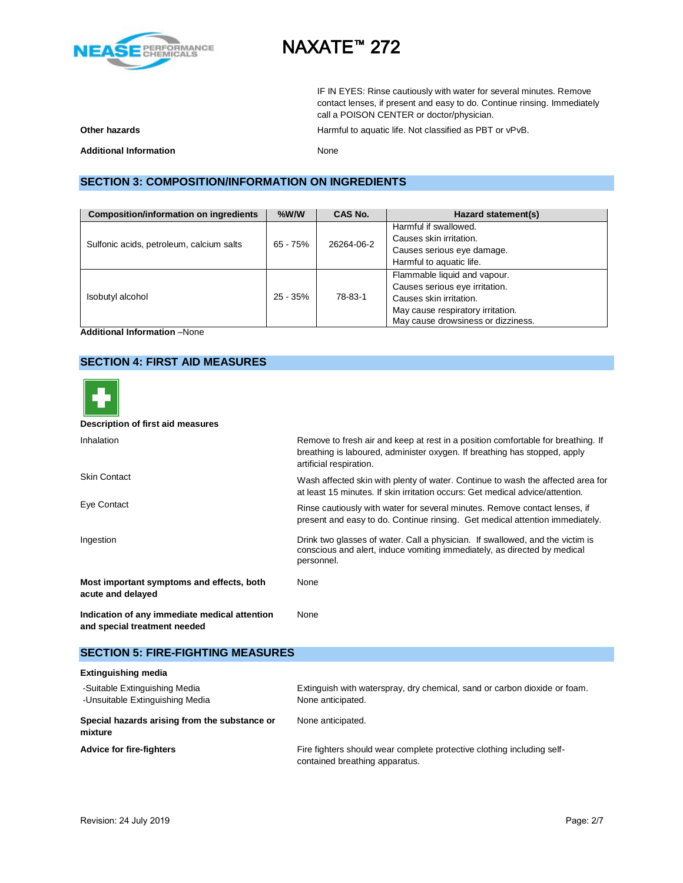

IF IN EYES: Rinse cautiously with water for several minutes. Remove contact lenses, if present and easy to do. Continue rinsing. Immediately call a POISON CENTER or doctor/physician.

**Other hazards Calcular Contracts** Harmful to aquatic life. Not classified as PBT or vPvB.

**Additional Information** None

## **SECTION 3: COMPOSITION/INFORMATION ON INGREDIENTS**

| <b>Composition/information on ingredients</b> | $%$ W/W    | CAS No.    | Hazard statement(s)                |
|-----------------------------------------------|------------|------------|------------------------------------|
|                                               |            |            | Harmful if swallowed.              |
|                                               | $65 - 75%$ | 26264-06-2 | Causes skin irritation.            |
| Sulfonic acids, petroleum, calcium salts      |            |            | Causes serious eye damage.         |
|                                               |            |            | Harmful to aquatic life.           |
|                                               |            |            | Flammable liquid and vapour.       |
|                                               |            | 78-83-1    | Causes serious eye irritation.     |
| Isobutyl alcohol                              | $25 - 35%$ |            | Causes skin irritation.            |
|                                               |            |            | May cause respiratory irritation.  |
|                                               |            |            | May cause drowsiness or dizziness. |

**Additional Information** –None

## **SECTION 4: FIRST AID MEASURES**



#### **Description of first aid measures**

| Inhalation                                                                    | Remove to fresh air and keep at rest in a position comfortable for breathing. If<br>breathing is laboured, administer oxygen. If breathing has stopped, apply<br>artificial respiration. |
|-------------------------------------------------------------------------------|------------------------------------------------------------------------------------------------------------------------------------------------------------------------------------------|
| <b>Skin Contact</b>                                                           | Wash affected skin with plenty of water. Continue to wash the affected area for<br>at least 15 minutes. If skin irritation occurs: Get medical advice/attention.                         |
| Eye Contact                                                                   | Rinse cautiously with water for several minutes. Remove contact lenses, if<br>present and easy to do. Continue rinsing. Get medical attention immediately.                               |
| Ingestion                                                                     | Drink two glasses of water. Call a physician. If swallowed, and the victim is<br>conscious and alert, induce vomiting immediately, as directed by medical<br>personnel.                  |
| Most important symptoms and effects, both<br>acute and delayed                | None                                                                                                                                                                                     |
| Indication of any immediate medical attention<br>and special treatment needed | None                                                                                                                                                                                     |

### **SECTION 5: FIRE-FIGHTING MEASURES**

### **Extinguishing media** -Suitable Extinguishing Media Extinguish with waterspray, dry chemical, sand or carbon dioxide or foam. -Unsuitable Extinguishing Media None anticipated. **Special hazards arising from the substance or mixture** None anticipated. Advice for fire-fighters **Fire-fighters** Fire fighters should wear complete protective clothing including selfcontained breathing apparatus.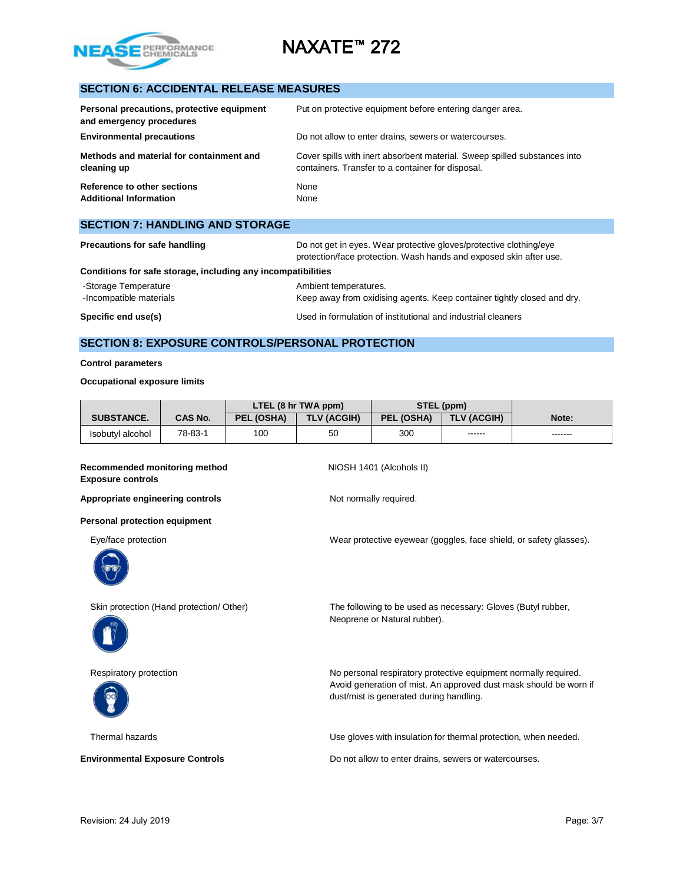

## **SECTION 6: ACCIDENTAL RELEASE MEASURES**

| Personal precautions, protective equipment<br>and emergency procedures | Put on protective equipment before entering danger area.                  |
|------------------------------------------------------------------------|---------------------------------------------------------------------------|
| <b>Environmental precautions</b>                                       | Do not allow to enter drains, sewers or watercourses.                     |
| Methods and material for containment and                               | Cover spills with inert absorbent material. Sweep spilled substances into |
| cleaning up                                                            | containers. Transfer to a container for disposal.                         |
| Reference to other sections                                            | None                                                                      |
| <b>Additional Information</b>                                          | None                                                                      |

| <b>SECTION 7: HANDLING AND STORAGE</b>                       |                                                                                                                                          |  |
|--------------------------------------------------------------|------------------------------------------------------------------------------------------------------------------------------------------|--|
| <b>Precautions for safe handling</b>                         | Do not get in eyes. Wear protective gloves/protective clothing/eye<br>protection/face protection. Wash hands and exposed skin after use. |  |
| Conditions for safe storage, including any incompatibilities |                                                                                                                                          |  |

-Storage Temperature **Ambient temperatures**. -Incompatible materials **Keep away from oxidising agents. Keep container tightly closed and dry. Specific end use(s) Specific end use(s) I** Used in formulation of institutional and industrial cleaners

# **SECTION 8: EXPOSURE CONTROLS/PERSONAL PROTECTION**

### **Control parameters**

#### **Occupational exposure limits**

|                   |                | LTEL (8 hr TWA ppm) |             | STEL (ppm) |                    |         |
|-------------------|----------------|---------------------|-------------|------------|--------------------|---------|
| <b>SUBSTANCE.</b> | <b>CAS No.</b> | PEL (OSHA)          | TLV (ACGIH) | PEL (OSHA) | <b>TLV (ACGIH)</b> | Note:   |
| Isobutyl alcohol  | 78-83-1        | 100                 | 50          | 300        | ------             | ------- |

#### **Recommended monitoring method NIOSH 1401 (Alcohols II) Exposure controls**

Appropriate engineering controls **Not no and Separate Separate Appropriate** engineering controls

**Personal protection equipment**







Eye/face protection Wear protective eyewear (goggles, face shield, or safety glasses).

Skin protection (Hand protection/ Other) The following to be used as necessary: Gloves (Butyl rubber, Neoprene or Natural rubber).

Respiratory protection **No personal respiratory protective equipment normally required.** Avoid generation of mist. An approved dust mask should be worn if dust/mist is generated during handling.

Thermal hazards Use gloves with insulation for thermal protection, when needed.

**Environmental Exposure Controls Do not allow to enter drains, sewers or watercourses.**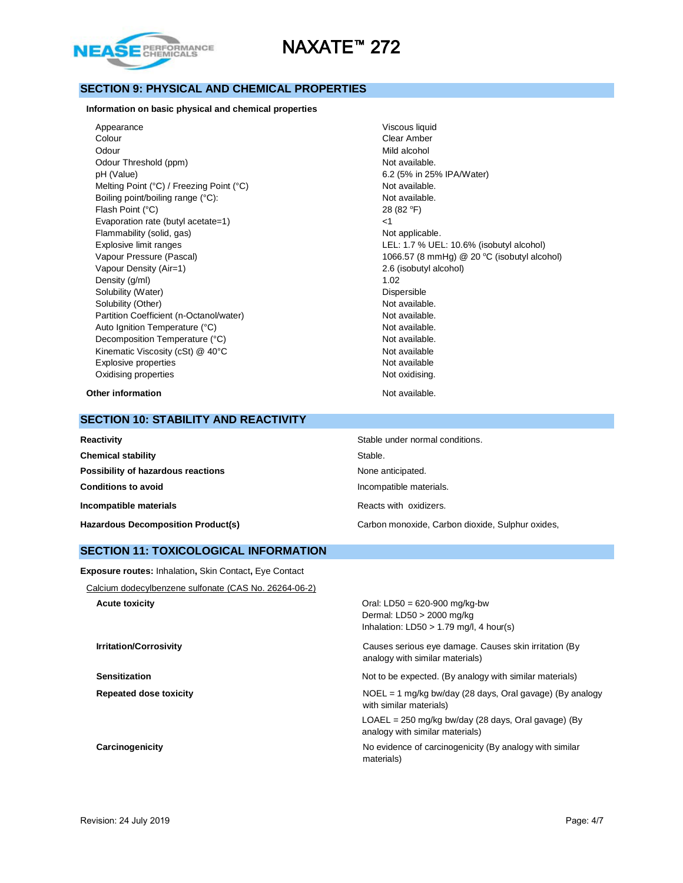

## **SECTION 9: PHYSICAL AND CHEMICAL PROPERTIES**

### **Information on basic physical and chemical properties**

Appearance Viscous liquid Colour Clear Amber Odour Mild alcohol Number of the Second Second Mild alcohol Number of the Mild alcohol Number of the Mild alcohol Number of the Mild alcohol Number of the Mild alcohol Number of the Mild alcohol Number of the Mild alcohol Odour Threshold (ppm) Not available. pH (Value) 6.2 (5% in 25% IPA/Water) Melting Point (°C) / Freezing Point (°C) Not available. Boiling point/boiling range (°C): Not available. Flash Point  $(^{\circ}C)$  28 (82  $^{\circ}F$ ) Evaporation rate (butyl acetate=1) <1 Flammability (solid, gas) Not applicable. Vapour Density (Air=1) 2.6 (isobutyl alcohol) Density (g/ml) 1.02 Solubility (Water) **Dispersible** Solubility (Other) Not available. Partition Coefficient (n-Octanol/water) Not available. Auto Ignition Temperature (°C) and the set of the Mot available. Decomposition Temperature (°C) Not available. Kinematic Viscosity (cSt) @ 40°C Not available Explosive properties Not available Oxidising properties Not oxidising.

Explosive limit ranges LEL: 1.7 % UEL: 10.6% (isobutyl alcohol) Vapour Pressure (Pascal) 2006.57 (8 mmHg) @ 20 °C (isobutyl alcohol)

**Other information Not available. Other information** 

### **SECTION 10: STABILITY AND REACTIVITY**

| Reactivity                                | Stable under normal conditions.                  |
|-------------------------------------------|--------------------------------------------------|
| <b>Chemical stability</b>                 | Stable.                                          |
| Possibility of hazardous reactions        | None anticipated.                                |
| <b>Conditions to avoid</b>                | Incompatible materials.                          |
| Incompatible materials                    | Reacts with oxidizers.                           |
| <b>Hazardous Decomposition Product(s)</b> | Carbon monoxide, Carbon dioxide, Sulphur oxides, |

### **SECTION 11: TOXICOLOGICAL INFORMATION**

**Exposure routes:** Inhalation**,** Skin Contact**,** Eye Contact

Calcium dodecylbenzene sulfonate (CAS No. 26264-06-2)

**Acute toxicity Acute toxicity Oral: LD50 = 620-900 mg/kg-bw** Dermal: LD50 > 2000 mg/kg Inhalation:  $LD50 > 1.79$  mg/l, 4 hour(s)

**Irritation/Corrosivity Causes serious eye damage. Causes skin irritation (By** Causes skin irritation (By analogy with similar materials)

**Sensitization** Sensitization **Sensitization** Not to be expected. (By analogy with similar materials)

**Repeated dose toxicity** NOEL = 1 mg/kg bw/day (28 days, Oral gavage) (By analogy with similar materials)

> LOAEL = 250 mg/kg bw/day (28 days, Oral gavage) (By analogy with similar materials)

**Carcinogenicity Carcinogenicity Carcinogenicity No evidence of carcinogenicity** (By analogy with similar materials)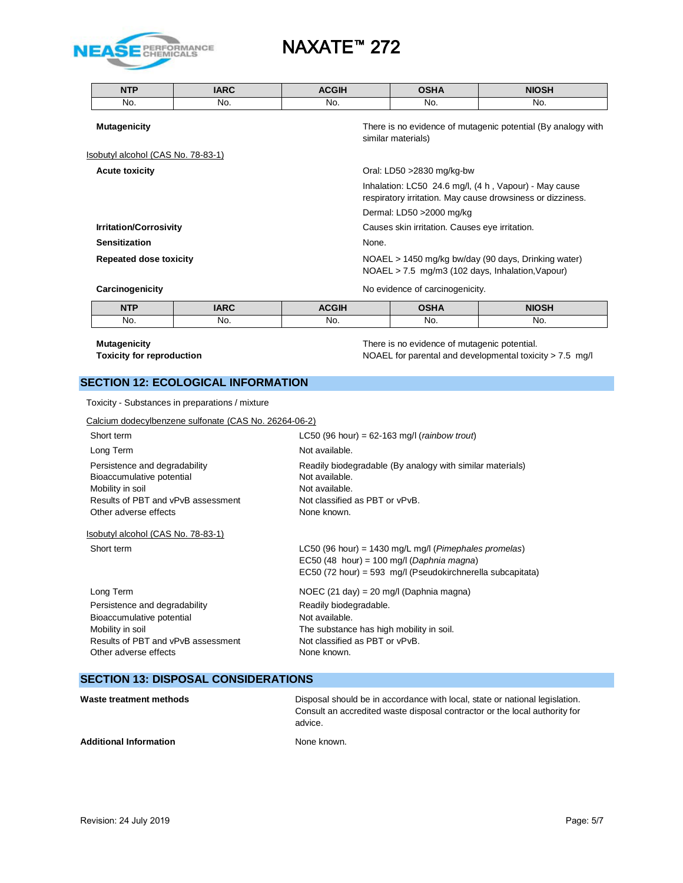

| <b>NTP</b>                         | <b>IARC</b> | <b>ACGIH</b> | <b>OSHA</b>                                    | <b>NIOSH</b>                                                                                                        |
|------------------------------------|-------------|--------------|------------------------------------------------|---------------------------------------------------------------------------------------------------------------------|
| No.                                | No.         | No.          | No.                                            | No.                                                                                                                 |
| <b>Mutagenicity</b>                |             |              | similar materials)                             | There is no evidence of mutagenic potential (By analogy with                                                        |
| Isobutyl alcohol (CAS No. 78-83-1) |             |              |                                                |                                                                                                                     |
| <b>Acute toxicity</b>              |             |              | Oral: LD50 >2830 mg/kg-bw                      |                                                                                                                     |
|                                    |             |              |                                                | Inhalation: LC50 24.6 mg/l, (4 h, Vapour) - May cause<br>respiratory irritation. May cause drowsiness or dizziness. |
|                                    |             |              | Dermal: LD50 > 2000 mg/kg                      |                                                                                                                     |
| <b>Irritation/Corrosivity</b>      |             |              | Causes skin irritation. Causes eye irritation. |                                                                                                                     |
| <b>Sensitization</b>               |             | None.        |                                                |                                                                                                                     |
| <b>Repeated dose toxicity</b>      |             |              |                                                | NOAEL > 1450 mg/kg bw/day (90 days, Drinking water)<br>$NOAEL > 7.5$ mg/m3 (102 days, Inhalation, Vapour)           |
| Carcinogenicity                    |             |              | No evidence of carcinogenicity.                |                                                                                                                     |
| <b>NTP</b>                         | <b>IARC</b> | <b>ACGIH</b> | <b>OSHA</b>                                    | <b>NIOSH</b>                                                                                                        |

No. No. No. No. No.

| <b>Mutagenicity</b> |
|---------------------|
|---------------------|

There is no evidence of mutagenic potential. **Toxicity for reproduction NOAEL** for parental and developmental toxicity > 7.5 mg/l

## **SECTION 12: ECOLOGICAL INFORMATION**

| Toxicity - Substances in preparations / mixture |  |
|-------------------------------------------------|--|
|-------------------------------------------------|--|

| Calcium dodecylbenzene sulfonate (CAS No. 26264-06-2) |  |  |
|-------------------------------------------------------|--|--|
|                                                       |  |  |

| Short term                                                                                                                                    | LC50 (96 hour) = $62-163$ mg/l (rainbow trout)                                                                                                                            |
|-----------------------------------------------------------------------------------------------------------------------------------------------|---------------------------------------------------------------------------------------------------------------------------------------------------------------------------|
| Long Term                                                                                                                                     | Not available.                                                                                                                                                            |
| Persistence and degradability<br>Bioaccumulative potential<br>Mobility in soil<br>Results of PBT and vPvB assessment<br>Other adverse effects | Readily biodegradable (By analogy with similar materials)<br>Not available.<br>Not available.<br>Not classified as PBT or vPvB.<br>None known.                            |
| Isobutyl alcohol (CAS No. 78-83-1)                                                                                                            |                                                                                                                                                                           |
| Short term                                                                                                                                    | LC50 (96 hour) = 1430 mg/L mg/l ( <i>Pimephales promelas</i> )<br>EC50 (48 hour) = 100 mg/l (Daphnia magna)<br>EC50 (72 hour) = 593 mg/l (Pseudokirchnerella subcapitata) |
| Long Term                                                                                                                                     | NOEC $(21 \text{ day}) = 20 \text{ mg/l}$ (Daphnia magna)                                                                                                                 |
| Persistence and degradability<br>Bioaccumulative potential<br>Mobility in soil<br>Results of PBT and vPvB assessment<br>Other adverse effects | Readily biodegradable.<br>Not available.<br>The substance has high mobility in soil.<br>Not classified as PBT or vPvB.<br>None known.                                     |

## **SECTION 13: DISPOSAL CONSIDERATIONS**

| Waste treatment methods       | Disposal should be in accordance with local, state or national legislation.<br>Consult an accredited waste disposal contractor or the local authority for<br>advice. |
|-------------------------------|----------------------------------------------------------------------------------------------------------------------------------------------------------------------|
| <b>Additional Information</b> | None known.                                                                                                                                                          |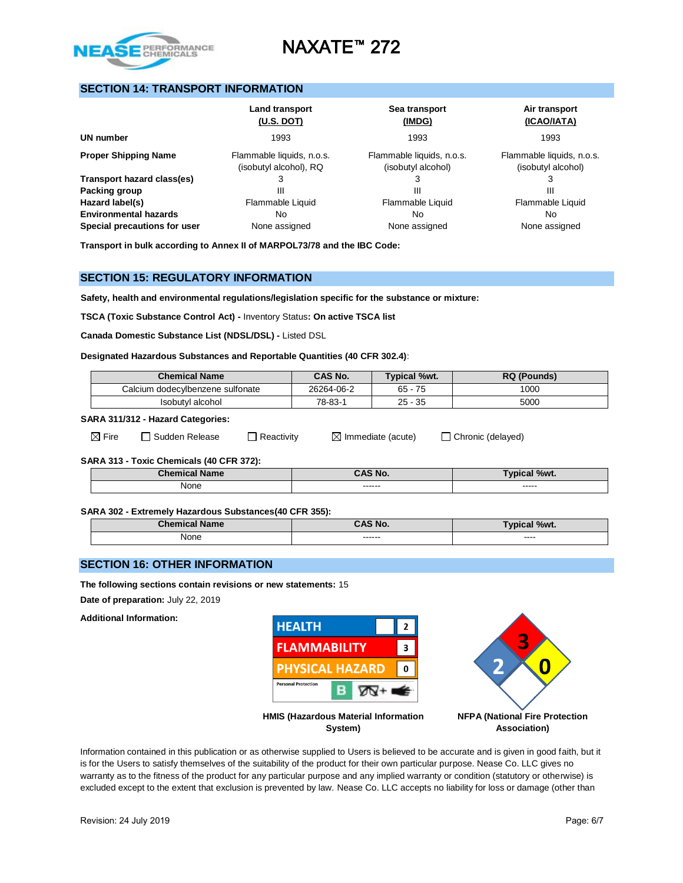

## **SECTION 14: TRANSPORT INFORMATION**

|                                                              | Land transport<br>$(U.S.$ DOT)                      | Sea transport<br>(IMDG)                         | Air transport<br>(ICAO/IATA)                    |
|--------------------------------------------------------------|-----------------------------------------------------|-------------------------------------------------|-------------------------------------------------|
| UN number                                                    | 1993                                                | 1993                                            | 1993                                            |
| <b>Proper Shipping Name</b>                                  | Flammable liquids, n.o.s.<br>(isobutyl alcohol), RQ | Flammable liquids, n.o.s.<br>(isobutyl alcohol) | Flammable liquids, n.o.s.<br>(isobutyl alcohol) |
| Transport hazard class(es)                                   |                                                     |                                                 |                                                 |
| Packing group                                                | Ш                                                   | Ш                                               | Ш                                               |
| Hazard label(s)                                              | Flammable Liquid                                    | Flammable Liquid                                | Flammable Liquid                                |
| <b>Environmental hazards</b><br>Special precautions for user | No<br>None assigned                                 | No<br>None assigned                             | No.<br>None assigned                            |

**Transport in bulk according to Annex II of MARPOL73/78 and the IBC Code:** 

### **SECTION 15: REGULATORY INFORMATION**

**Safety, health and environmental regulations/legislation specific for the substance or mixture:**

**TSCA (Toxic Substance Control Act) -** Inventory Status**: On active TSCA list**

**Canada Domestic Substance List (NDSL/DSL) -** Listed DSL

### **Designated Hazardous Substances and Reportable Quantities (40 CFR 302.4)**:

| <b>Chemical Name</b>             | CAS No.    | <b>Typical %wt.</b> | <b>RQ (Pounds)</b> |
|----------------------------------|------------|---------------------|--------------------|
| Calcium dodecvlbenzene sulfonate | 26264-06-2 | 75<br>65 -          | 1000               |
| Isobutyl alcohol                 | 78-83-1    | $25 - 35$           | 5000               |

#### **SARA 311/312 - Hazard Categories:**

| ⋊ |      |  |
|---|------|--|
|   | Fire |  |

 $\boxtimes$  Fire  $\Box$  Sudden Release  $\Box$  Reactivity  $\Box$  Immediate (acute)  $\Box$  Chronic (delayed)

### **SARA 313 - Toxic Chemicals (40 CFR 372):**

| <b>Chemical Name</b> | <b>CAS No.</b>    | $\mathcal{N}$ / $\mathcal{N}$<br><b>Typical</b> |
|----------------------|-------------------|-------------------------------------------------|
| None<br>____         | ------<br>------- | ------<br>------                                |

#### **SARA 302 - Extremely Hazardous Substances(40 CFR 355):**

| .<br><b>Chemical</b><br><b>Name</b> | <b>CAS No.</b>     | %wt.<br>Γvι<br>caı |
|-------------------------------------|--------------------|--------------------|
| None<br>$\sim$ $\sim$               | -------<br>------- | ----<br>_____      |

### **SECTION 16: OTHER INFORMATION**

**The following sections contain revisions or new statements:** 15

**Date of preparation:** July 22, 2019

**Additional Information:**



Information contained in this publication or as otherwise supplied to Users is believed to be accurate and is given in good faith, but it is for the Users to satisfy themselves of the suitability of the product for their own particular purpose. Nease Co. LLC gives no warranty as to the fitness of the product for any particular purpose and any implied warranty or condition (statutory or otherwise) is excluded except to the extent that exclusion is prevented by law. Nease Co. LLC accepts no liability for loss or damage (other than